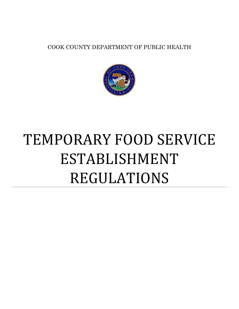COOK COUNTY DEPARTMENT OF PUBLIC HEALTH



# TEMPORARY FOOD SERVICE ESTABLISHMENT REGULATIONS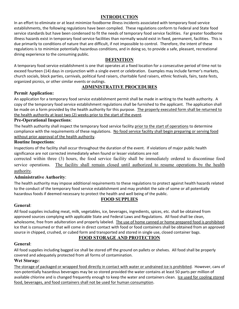## **INTRODUCTION**

In an effort to eliminate or at least minimize foodborne illness incidents associated with temporary food service establishments, the following regulations have been compiled. These regulations conform to Federal and State food service standards but have been condensed to fit the needs of temporary food service facilities. Far greater foodborne illness hazards exist in temporary food service facilities than normally would exist in fixed, permanent, facilities. This is due primarily to conditions of nature that are difficult, if not impossible to control. Therefore, the intent of these regulations is to minimize potentially hazardous conditions, and in doing so, to provide a safe, pleasant, recreational dining experience to the consuming public.

## **DEFINITION**

A temporary food service establishment is one that operates at a fixed location for a consecutive period of time not to exceed fourteen (14) days in conjunction with a single event or celebration. Examples may include farmer's markets, church socials, block parties, carnivals, political fund raisers, charitable fund raisers, ethnic festivals, fairs, taste fests, organized picnics, or other similar events or outings.

# **ADMINISTRATIVE PROCEDURES**

## **Permit Application:**

An application for a temporary food service establishment permit shall be made in writing to the health authority. A copy of the temporary food service establishment regulations shall be furnished to the applicant. The application shall be made on a form provided by the health authority for this purpose. The properly executed form shall be returned to the health authority at least two (2) weeks prior to the start of the event.

#### **Pre-Operational Inspections**:

The health authority shall inspect the temporary food service facility prior to the start of operations to determine compliance with the requirements of these regulations. No food service facility shall begin preparing or serving food without prior approval of the health authority.

#### **Routine Inspections**:

Inspections of the facility shall occur throughout the duration of the event. If violations of major public health significance are not corrected immediately when found or lesser violations are not

corrected within three (3) hours, the food service facility shall be immediately ordered to discontinue food service operations. The facility shall remain closed until authorized to resume operations by the health authority.

#### **Administrative Authority**:

The health authority may impose additional requirements to these regulations to protect against health hazards related to the conduct of the temporary food service establishment and may prohibit the sale of some or all potentially hazardous foods if deemed necessary to protect the health and well being of the public.

# **FOOD SUPPLIES**

#### **General**:

All food supplies including meat, milk, vegetables, ice, beverages, ingredients, spices, etc. shall be obtained from approved sources complying with applicable State and Federal Laws and Regulations. All food shall be clean, wholesome, free from adulteration and properly labeled. The use of home canned or home prepared food is prohibited. Ice that is consumed or that will come in direct contact with food or food containers shall be obtained from an approved source in chipped, crushed, or cubed form and transported and stored in single use, closed container bags.

# **FOOD STORAGE AND PROTECTION**

#### **General**:

All food supplies including bagged ice shall be stored off the ground on pallets or shelves. All food shall be properly covered and adequately protected from all forms of contamination.

#### **Wet Storag**e:

The storage of packaged or wrapped food directly in contact with water or undrained ice is prohibited. However, cans of non-potentially hazardous beverages may be so stored provided the water contains at least 50 parts per million of available chlorine and is changed frequently enough to keep the water and containers clean. Ice used for cooling stored food, beverages, and food containers shall not be used for human consumption.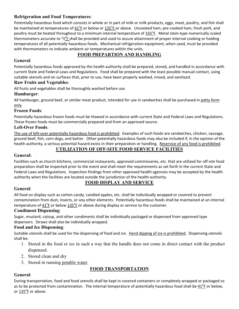# **Refrigeration and Food Temperatures**:

Potentially hazardous food which consists in whole or in part of milk or milk products, eggs, meat, poultry, and fish shall be maintained at temperatures of  $41^{\circ}$ F or below or  $135^{\circ}$ F or above. Uncooked ham, pre-cooked ham, fresh pork, and poultry must be heated throughout to a minimum internal temperature of 165°F. Metal stem-type numerically scaled thermometers accurate to <sup>±</sup>3<sup>o</sup>F shall be provided and used to assure attainment of proper internal cooking or holding temperatures of all potentially hazardous foods. Mechanical refrigeration equipment, when used, must be provided with thermometers to indicate ambient air temperatures within the units.

# **FOOD PREPARTION AND HANDLING**

# **General**:

Potentially hazardous foods approved by the health authority shall be prepared, stored, and handled in accordance with current State and Federal Laws and Regulations. Food shall be prepared with the least possible manual contact, using suitable utensils and on surfaces that, prior to use, have been properly washed, rinsed, and sanitized.

# **Raw Fruits and Vegetables**:

All fruits and vegetables shall be thoroughly washed before use.

# **Hamburger**:

All hamburger, ground beef, or similar meat product, intended for use in sandwiches shall be purchased in patty form only.

## **Frozen Foods**:

Potentially hazardous frozen foods must be thawed in accordance with current State and Federal Laws and Regulations. These frozen foods must be commercially prepared and from an approved source.

## **Left-Over Foods**:

The use of left-over potentially hazardous food is prohibited. Examples of such foods are sandwiches, chicken, sausage, ground beef, fish, corn dogs, and batter. Other potentially hazardous foods may also be included if, in the opinion of the health authority, a serious potential hazard exists in their preparation or handling. Reservice of any food is prohibited.

# **UTILIZATION OF OFF-SITE FOOD SERVICE FACILITIES**

#### **General:**

Facilities such as church kitchens, commercial restaurants, approved commissaries, etc. that are utilized for off-site food preparation shall be inspected prior to the event and shall meet the requirements as set forth in the current State and Federal Laws and Regulations. Inspection findings from other approved health agencies may be accepted by the health authority when the facilities are located outside the jurisdiction of the health authority.

# **General**:

# **FOOD DISPLAY AND SERVICE**

All food on display such as cotton candy, candied apples, etc. shall be individually wrapped or covered to prevent contamination from dust, insects, or any other elements. Potentially hazardous foods shall be maintained at an internal temperature of  $41^\circ$ F or below  $135^\circ$ F or above during display or service to the customer.

#### **Condiment Dispensing**:

Sugar, mustard, catsup, and other condiments shall be individually packaged or dispensed from approved type dispensers. Straws shall also be individually wrapped.

# **Food and Ice Dispensing**:

Suitable utensils shall be used for the dispensing of food and ice. Hand dipping of ice is prohibited. Dispensing utensils shall be:

- 1. Stored in the food or ice in such a way that the handle does not come in direct contact with the product dispensed.
- 2. Stored clean and dry
- 3. Stored in running potable water.

# **FOOD TRANSPORTATION**

# **General**:

During transportation, food and food utensils shall be kept in covered containers or completely wrapped or packaged so as to be protected from contamination. The internal temperature of potentially hazardous food shall be  $41^{\circ}$ F or below, or <u>135<sup>°</sup>F</u> or above.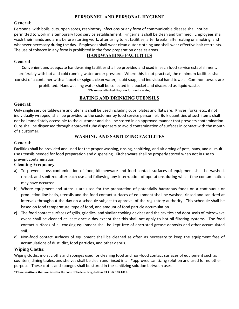## **PERSONNEL AND PERSONAL HYGIENE**

#### **General**:

Personnel with boils, cuts, open sores, respiratory infections or any form of communicable disease shall not be permitted to work in a temporary food service establishment. Fingernails shall be clean and trimmed. Employees shall wash their hands and arms before starting work, after using toilet facilities, after breaks, after eating or smoking, and whenever necessary during the day. Employees shall wear clean outer clothing and shall wear effective hair restraints. The use of tobacco in any form is prohibited in the food preparation or sales areas.

# **HANDWASHING FACILITIES**

#### **General**:

Convenient and adequate handwashing facilities shall be provided and used in each food service establishment, preferably with hot and cold running water under pressure. Where this is not practical, the minimum facilities shall consist of a container with a faucet or spigot, clean water, liquid soap, and individual hand towels. Common towels are prohibited. Handwashing water shall be collected in a bucket and discarded as liquid waste. **\*Please see attached diagram for handwashing.** 

# **EATING AND DRINKING UTENSILS**

## **General**:

Only single service tableware and utensils shall be used including cups, plates and flatware. Knives, forks, etc., if not individually wrapped, shall be provided to the customer by food service personnel. Bulk quantities of such items shall not be immediately accessible to the customer and shall be stored in an approved manner that prevents contamination. Cups shall be dispensed through approved tube dispensers to avoid contamination of surfaces in contact with the mouth of a customer.

# **WASHING AND SANITIZING FACILITES**

#### **General**:

Facilities shall be provided and used for the proper washing, rinsing, sanitizing, and air drying of pots, pans, and all multiuse utensils needed for food preparation and dispensing. Kitchenware shall be properly stored when not in use to prevent contamination.

#### **Cleaning Frequency**:

- a) To prevent cross-contamination of food, kitchenware and food contact surfaces of equipment shall be washed, rinsed, and sanitized after each use and following any interruption of operations during which time contamination may have occurred.
- b) Where equipment and utensils are used for the preparation of potentially hazardous foods on a continuous or production-line basis, utensils and the food contact surfaces of equipment shall be washed, rinsed and sanitized at intervals throughout the day on a schedule subject to approval of the regulatory authority. This schedule shall be based on food temperature, type of food, and amount of food particle accumulation.
- c) The food contact surfaces of grills, griddles, and similar cooking devices and the cavities and door seals of microwave ovens shall be cleaned at least once a day except that this shall not apply to hot oil filtering systems. The food contact surfaces of all cooking equipment shall be kept free of encrusted grease deposits and other accumulated soil.
- d) Non-food contact surfaces of equipment shall be cleaned as often as necessary to keep the equipment free of accumulations of dust, dirt, food particles, and other debris.

#### **Wiping Cloths**:

Wiping cloths, moist cloths and sponges used for cleaning food and non-food contact surfaces of equipment such as counters, dining tables, and shelves shall be clean and rinsed in an **\***approved sanitizing solution and used for no other purpose. These cloths and sponges shall be stored in the sanitizing solution between uses.

**\*Those sanitizers that are listed in the code of Federal Regulations 21 CFR 178.1010.**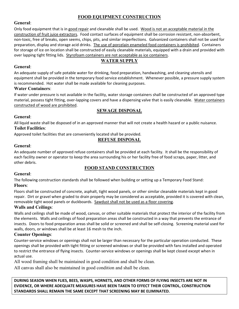# **FOOD EQUIPMENT CONSTRUCTION**

#### **General**:

Only food equipment that is in good repair and cleanable shall be used. Wood is not an acceptable material in the construction of fruit juice extractors. Food contact surfaces of equipment shall be corrosion resistant, non-absorbent, non-toxic, free of breaks, open seems, chips, pits, and similar imperfections. Galvanized containers shall not be used for preparation, display and storage acid drinks. The use of porcelain enameled food containers is prohibited. Containers for storage of ice on location shall be constructed of easily cleanable materials, equipped with a drain and provided with over lapping tight fitting lids. Styrofoam containers are not acceptable as ice containers.

## **WATER SUPPLY**

#### **General**:

An adequate supply of safe potable water for drinking, food preparation, handwashing, and cleaning utensils and equipment shall be provided in the temporary food service establishment. Whenever possible, a pressure supply system is recommended. Hot water shall be made available for cleaning purposes.

#### **Water Containers**:

If water under pressure is not available in the facility, water storage containers shall be constructed of an approved type material, possess tight fitting, over-lapping covers and have a dispensing valve that is easily cleanable. Water containers constructed of wood are prohibited.

# **SEWAGE DISPOSAL**

# **General**:

All liquid waste shall be disposed of in an approved manner that will not create a health hazard or a public nuisance. **Toilet Facilities**:

Approved toilet facilities that are conveniently located shall be provided.

#### **REFUSE DISPOSAL**

## **General**:

An adequate number of approved refuse containers shall be provided at each facility. It shall be the responsibility of each facility owner or operator to keep the area surrounding his or her facility free of food scraps, paper, litter, and other debris.

# **FOOD STAND CONSTRUCTION**

#### **General**:

The following construction standards shall be followed when building or setting up a Temporary Food Stand: **Floors**:

Floors shall be constructed of concrete, asphalt, tight wood panels, or other similar cleanable materials kept in good repair. Dirt or gravel when graded to drain properly may be considered as acceptable, provided it is covered with clean, removable tight wood panels or duckboards. Sawdust shall not be used as a floor covering.

#### **Walls and Ceilings**:

Walls and ceilings shall be made of wood, canvas, or other suitable materials that protect the interior of the facility from the elements. Walls and ceilings of food preparation areas shall be constructed in a way that prevents the entrance of insects. Doors to food preparation areas shall be solid or screened and shall be self-closing. Screening material used for walls, doors, or windows shall be at least 16 mesh to the inch.

#### **Counter Openings**:

Counter-service windows or openings shall not be larger than necessary for the particular operation conducted. These openings shall be provided with tight fitting or screened windows or shall be provided with fans installed and operated to restrict the entrance of flying insects. Counter-service windows or openings shall be kept closed except when in actual use.

All wood framing shall be maintained in good condition and shall be clean.

All canvas shall also be maintained in good condition and shall be clean.

**DURING SEASON WHEN FLIES, BEES, WASPS, HORNETS, AND OTHER FORMS OF FLYING INSECTS ARE NOT IN EVIDENCE, OR WHERE ADEQUATE MEASURES HAVE BEEN TAKEN TO EFFECT THEIR CONTROL, CONSTRUCTION STANDARDS SHALL REMAIN THE SAME EXCEPT THAT SCREENING MAY BE ELIMINATED.**